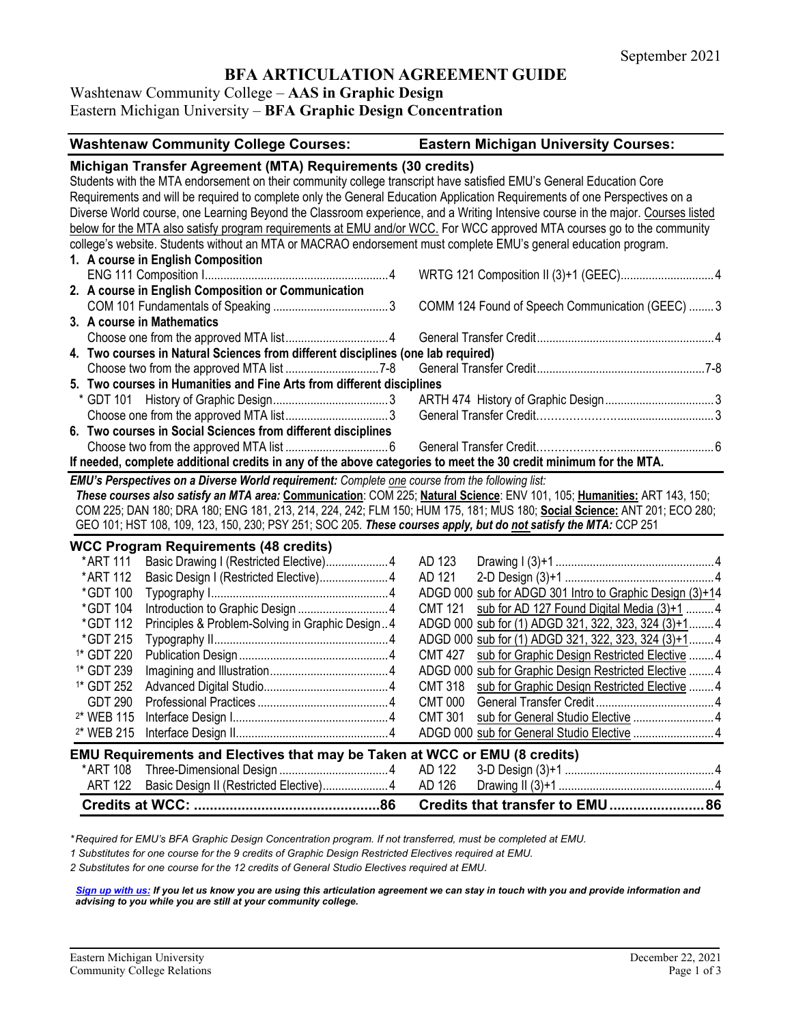# **BFA ARTICULATION AGREEMENT GUIDE**

Washtenaw Community College – **AAS in Graphic Design**

Eastern Michigan University – **BFA Graphic Design Concentration**

|                       | <b>Washtenaw Community College Courses:</b>                                                                                     |                | <b>Eastern Michigan University Courses:</b>              |
|-----------------------|---------------------------------------------------------------------------------------------------------------------------------|----------------|----------------------------------------------------------|
|                       | Michigan Transfer Agreement (MTA) Requirements (30 credits)                                                                     |                |                                                          |
|                       | Students with the MTA endorsement on their community college transcript have satisfied EMU's General Education Core             |                |                                                          |
|                       | Requirements and will be required to complete only the General Education Application Requirements of one Perspectives on a      |                |                                                          |
|                       | Diverse World course, one Learning Beyond the Classroom experience, and a Writing Intensive course in the major. Courses listed |                |                                                          |
|                       | below for the MTA also satisfy program requirements at EMU and/or WCC. For WCC approved MTA courses go to the community         |                |                                                          |
|                       | college's website. Students without an MTA or MACRAO endorsement must complete EMU's general education program.                 |                |                                                          |
|                       | 1. A course in English Composition                                                                                              |                |                                                          |
|                       |                                                                                                                                 |                | WRTG 121 Composition II (3)+1 (GEEC) 4                   |
|                       | 2. A course in English Composition or Communication                                                                             |                |                                                          |
|                       |                                                                                                                                 |                | COMM 124 Found of Speech Communication (GEEC)  3         |
|                       | 3. A course in Mathematics                                                                                                      |                |                                                          |
|                       |                                                                                                                                 |                |                                                          |
|                       | 4. Two courses in Natural Sciences from different disciplines (one lab required)                                                |                |                                                          |
|                       |                                                                                                                                 |                |                                                          |
|                       | 5. Two courses in Humanities and Fine Arts from different disciplines                                                           |                |                                                          |
|                       |                                                                                                                                 |                |                                                          |
|                       |                                                                                                                                 |                |                                                          |
|                       | 6. Two courses in Social Sciences from different disciplines                                                                    |                |                                                          |
|                       |                                                                                                                                 |                |                                                          |
|                       | If needed, complete additional credits in any of the above categories to meet the 30 credit minimum for the MTA.                |                |                                                          |
|                       | EMU's Perspectives on a Diverse World requirement: Complete one course from the following list:                                 |                |                                                          |
|                       | These courses also satisfy an MTA area: Communication: COM 225; Natural Science: ENV 101, 105; Humanities: ART 143, 150;        |                |                                                          |
|                       | COM 225; DAN 180; DRA 180; ENG 181, 213, 214, 224, 242; FLM 150; HUM 175, 181; MUS 180; Social Science: ANT 201; ECO 280;       |                |                                                          |
|                       | GEO 101; HST 108, 109, 123, 150, 230; PSY 251; SOC 205. These courses apply, but do not satisfy the MTA: CCP 251                |                |                                                          |
|                       | <b>WCC Program Requirements (48 credits)</b>                                                                                    |                |                                                          |
| *ART 111              | Basic Drawing I (Restricted Elective) 4                                                                                         | AD 123         |                                                          |
| *ART 112              | Basic Design I (Restricted Elective) 4                                                                                          | AD 121         |                                                          |
| *GDT 100              |                                                                                                                                 |                | ADGD 000 sub for ADGD 301 Intro to Graphic Design (3)+14 |
| *GDT 104              |                                                                                                                                 | <b>CMT 121</b> | sub for AD 127 Found Digital Media (3)+1  4              |
| *GDT 112              | Principles & Problem-Solving in Graphic Design4                                                                                 |                | ADGD 000 sub for (1) ADGD 321, 322, 323, 324 (3)+1 4     |
| *GDT 215              |                                                                                                                                 |                | ADGD 000 sub for (1) ADGD 321, 322, 323, 324 (3)+1 4     |
| <sup>1*</sup> GDT 220 |                                                                                                                                 | <b>CMT 427</b> | sub for Graphic Design Restricted Elective  4            |
| <sup>1*</sup> GDT 239 |                                                                                                                                 |                | ADGD 000 sub for Graphic Design Restricted Elective 4    |
| <sup>1*</sup> GDT 252 |                                                                                                                                 | <b>CMT 318</b> | sub for Graphic Design Restricted Elective  4            |
| <b>GDT 290</b>        |                                                                                                                                 | <b>CMT 000</b> |                                                          |
| <sup>2*</sup> WEB 115 |                                                                                                                                 | <b>CMT 301</b> | sub for General Studio Elective  4                       |
| <sup>2*</sup> WEB 215 |                                                                                                                                 |                | ADGD 000 sub for General Studio Elective  4              |
|                       | EMU Requirements and Electives that may be Taken at WCC or EMU (8 credits)                                                      |                |                                                          |
| *ART 108              |                                                                                                                                 | AD 122         |                                                          |
| <b>ART 122</b>        | Basic Design II (Restricted Elective) 4                                                                                         | AD 126         |                                                          |
|                       |                                                                                                                                 |                |                                                          |

*\* Required for EMU's BFA Graphic Design Concentration program. If not transferred, must be completed at EMU.*

*1 Substitutes for one course for the 9 credits of Graphic Design Restricted Electives required at EMU.*

*2 Substitutes for one course for the 12 credits of General Studio Electives required at EMU.*

*Sign up with us: If you let us know you are using this articulation agreement we can stay in touch with you and provide information and advising to you while you are still at your community college.*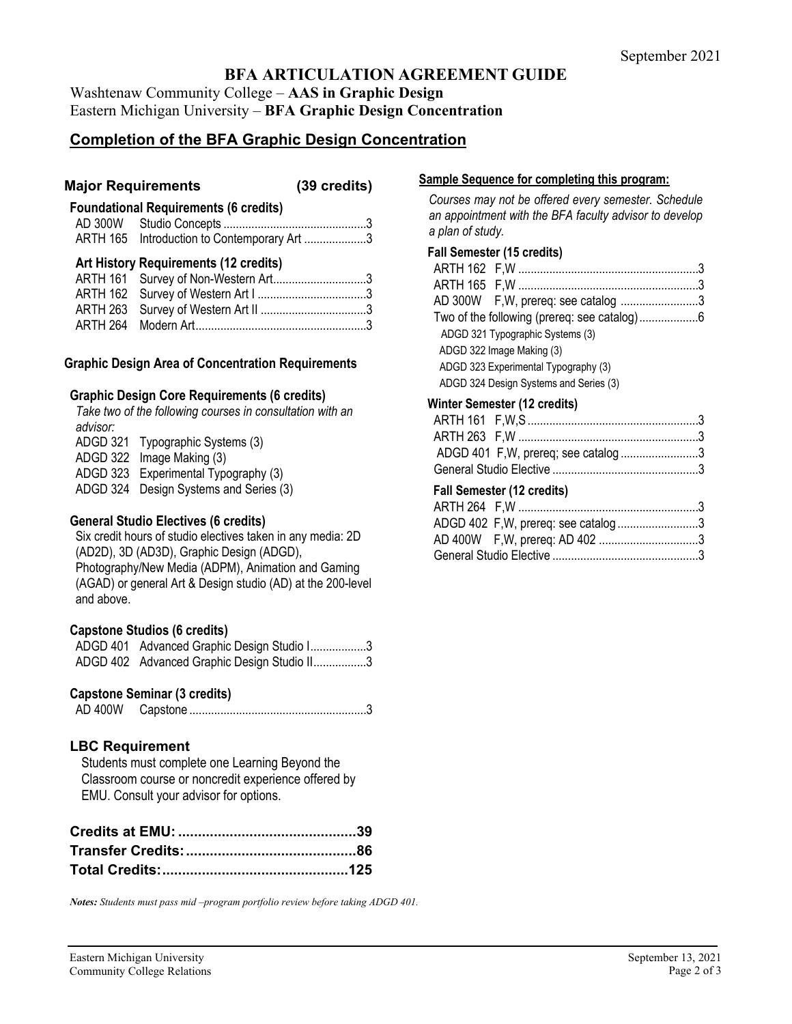## **BFA ARTICULATION AGREEMENT GUIDE**

Washtenaw Community College – **AAS in Graphic Design** Eastern Michigan University – **BFA Graphic Design Concentration**

## **Completion of the BFA Graphic Design Concentration**

### **Major Requirements (39 credits)**

## **Foundational Requirements (6 credits)**

| ARTH 165 Introduction to Contemporary Art 3 |  |
|---------------------------------------------|--|

### **Art History Requirements (12 credits)**

| ARTH 161 Survey of Non-Western Art3 |  |
|-------------------------------------|--|
|                                     |  |
|                                     |  |
|                                     |  |

### **Graphic Design Area of Concentration Requirements**

### **Graphic Design Core Requirements (6 credits)**

*Take two of the following courses in consultation with an advisor:* ADGD 321 Typographic Systems (3) ADGD 322 Image Making (3)

ADGD 323 Experimental Typography (3)

ADGD 324 Design Systems and Series (3)

### **General Studio Electives (6 credits)**

Six credit hours of studio electives taken in any media: 2D (AD2D), 3D (AD3D), Graphic Design (ADGD), Photography/New Media (ADPM), Animation and Gaming (AGAD) or general Art & Design studio (AD) at the 200-level and above.

#### **Capstone Studios (6 credits)**

| ADGD 401 Advanced Graphic Design Studio I3  |
|---------------------------------------------|
| ADGD 402 Advanced Graphic Design Studio II3 |

### **Capstone Seminar (3 credits)**

AD 400W Capstone .........................................................3

### **LBC Requirement**

Students must complete one Learning Beyond the Classroom course or noncredit experience offered by EMU. Consult your advisor for options.

#### *Notes: Students must pass mid –program portfolio review before taking ADGD 401.*

## **Sample Sequence for completing this program:**

*Courses may not be offered every semester. Schedule an appointment with the BFA faculty advisor to develop a plan of study.*

#### **Fall Semester (15 credits)**

| AD 300W F, W, prereq: see catalog 3    |  |
|----------------------------------------|--|
|                                        |  |
| ADGD 321 Typographic Systems (3)       |  |
| ADGD 322 Image Making (3)              |  |
| ADGD 323 Experimental Typography (3)   |  |
| ADGD 324 Design Systems and Series (3) |  |

#### **Winter Semester (12 credits)**

| ADGD 401 F, W, prereq; see catalog3 |  |
|-------------------------------------|--|
|                                     |  |

### **Fall Semester (12 credits)**

| ADGD 402 F, W, prereq: see catalog3 |  |
|-------------------------------------|--|
|                                     |  |
|                                     |  |